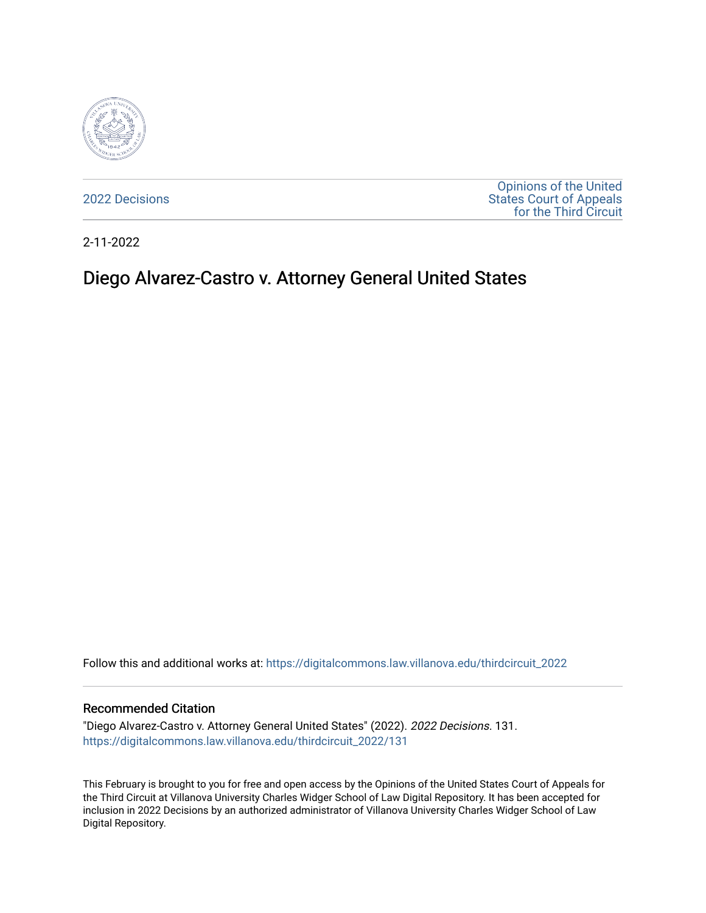

[2022 Decisions](https://digitalcommons.law.villanova.edu/thirdcircuit_2022)

[Opinions of the United](https://digitalcommons.law.villanova.edu/thirdcircuit)  [States Court of Appeals](https://digitalcommons.law.villanova.edu/thirdcircuit)  [for the Third Circuit](https://digitalcommons.law.villanova.edu/thirdcircuit) 

2-11-2022

# Diego Alvarez-Castro v. Attorney General United States

Follow this and additional works at: [https://digitalcommons.law.villanova.edu/thirdcircuit\\_2022](https://digitalcommons.law.villanova.edu/thirdcircuit_2022?utm_source=digitalcommons.law.villanova.edu%2Fthirdcircuit_2022%2F131&utm_medium=PDF&utm_campaign=PDFCoverPages) 

#### Recommended Citation

"Diego Alvarez-Castro v. Attorney General United States" (2022). 2022 Decisions. 131. [https://digitalcommons.law.villanova.edu/thirdcircuit\\_2022/131](https://digitalcommons.law.villanova.edu/thirdcircuit_2022/131?utm_source=digitalcommons.law.villanova.edu%2Fthirdcircuit_2022%2F131&utm_medium=PDF&utm_campaign=PDFCoverPages)

This February is brought to you for free and open access by the Opinions of the United States Court of Appeals for the Third Circuit at Villanova University Charles Widger School of Law Digital Repository. It has been accepted for inclusion in 2022 Decisions by an authorized administrator of Villanova University Charles Widger School of Law Digital Repository.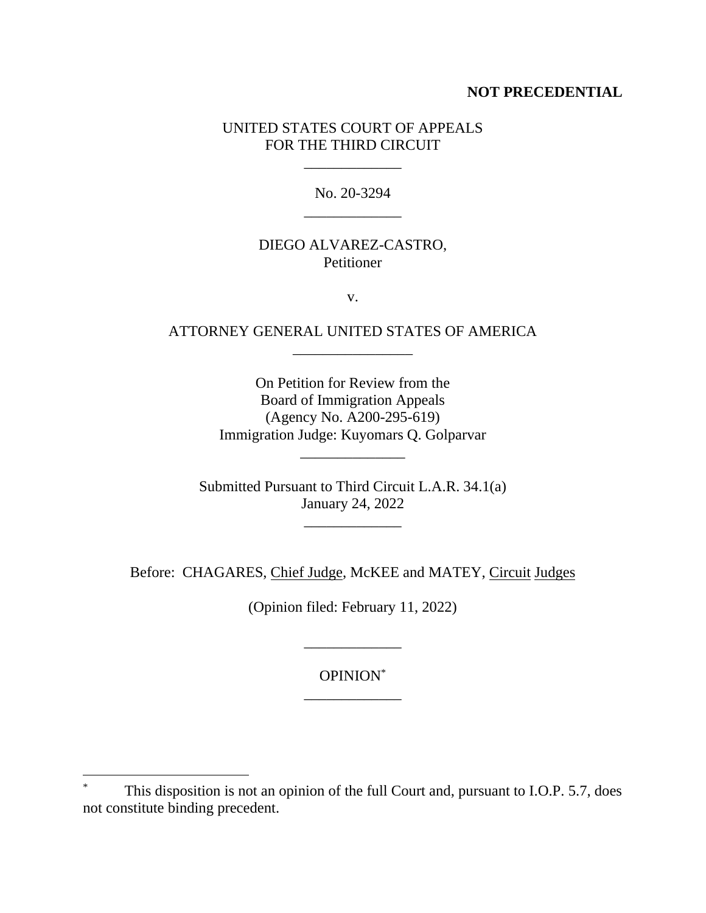## **NOT PRECEDENTIAL**

## UNITED STATES COURT OF APPEALS FOR THE THIRD CIRCUIT

\_\_\_\_\_\_\_\_\_\_\_\_\_

No. 20-3294 \_\_\_\_\_\_\_\_\_\_\_\_\_

## DIEGO ALVAREZ-CASTRO, Petitioner

v.

## ATTORNEY GENERAL UNITED STATES OF AMERICA \_\_\_\_\_\_\_\_\_\_\_\_\_\_\_\_

On Petition for Review from the Board of Immigration Appeals (Agency No. A200-295-619) Immigration Judge: Kuyomars Q. Golparvar

Submitted Pursuant to Third Circuit L.A.R. 34.1(a) January 24, 2022

\_\_\_\_\_\_\_\_\_\_\_\_\_

\_\_\_\_\_\_\_\_\_\_\_\_\_\_

Before: CHAGARES, Chief Judge, McKEE and MATEY, Circuit Judges

(Opinion filed: February 11, 2022)

OPINION\* \_\_\_\_\_\_\_\_\_\_\_\_\_

\_\_\_\_\_\_\_\_\_\_\_\_\_

This disposition is not an opinion of the full Court and, pursuant to I.O.P. 5.7, does not constitute binding precedent.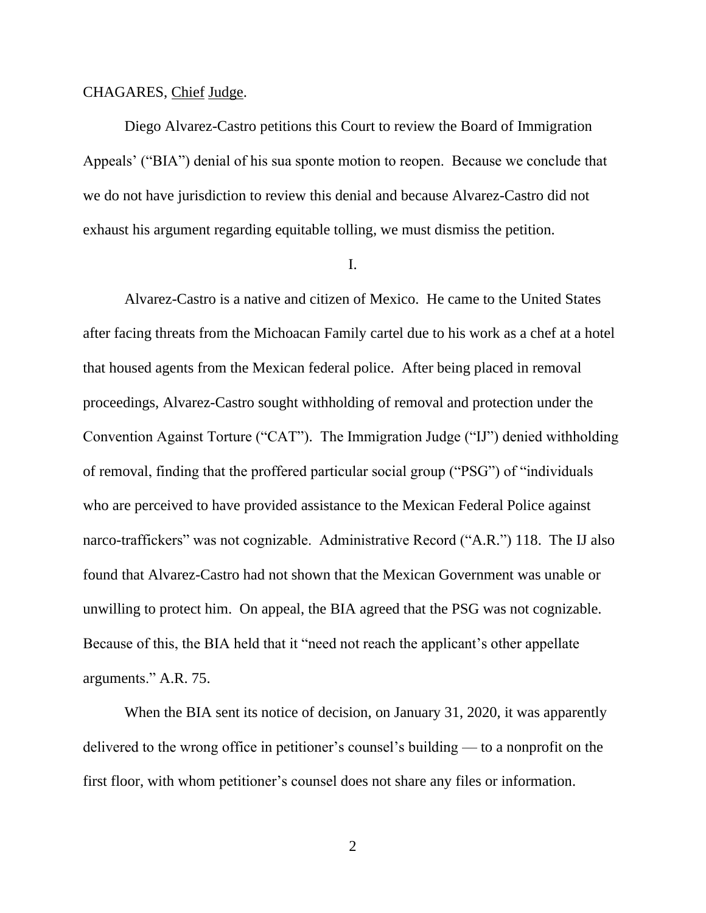#### CHAGARES, Chief Judge.

Diego Alvarez-Castro petitions this Court to review the Board of Immigration Appeals' ("BIA") denial of his sua sponte motion to reopen. Because we conclude that we do not have jurisdiction to review this denial and because Alvarez-Castro did not exhaust his argument regarding equitable tolling, we must dismiss the petition.

I.

Alvarez-Castro is a native and citizen of Mexico. He came to the United States after facing threats from the Michoacan Family cartel due to his work as a chef at a hotel that housed agents from the Mexican federal police. After being placed in removal proceedings, Alvarez-Castro sought withholding of removal and protection under the Convention Against Torture ("CAT"). The Immigration Judge ("IJ") denied withholding of removal, finding that the proffered particular social group ("PSG") of "individuals who are perceived to have provided assistance to the Mexican Federal Police against narco-traffickers" was not cognizable. Administrative Record ("A.R.") 118. The IJ also found that Alvarez-Castro had not shown that the Mexican Government was unable or unwilling to protect him. On appeal, the BIA agreed that the PSG was not cognizable. Because of this, the BIA held that it "need not reach the applicant's other appellate arguments." A.R. 75.

When the BIA sent its notice of decision, on January 31, 2020, it was apparently delivered to the wrong office in petitioner's counsel's building — to a nonprofit on the first floor, with whom petitioner's counsel does not share any files or information.

2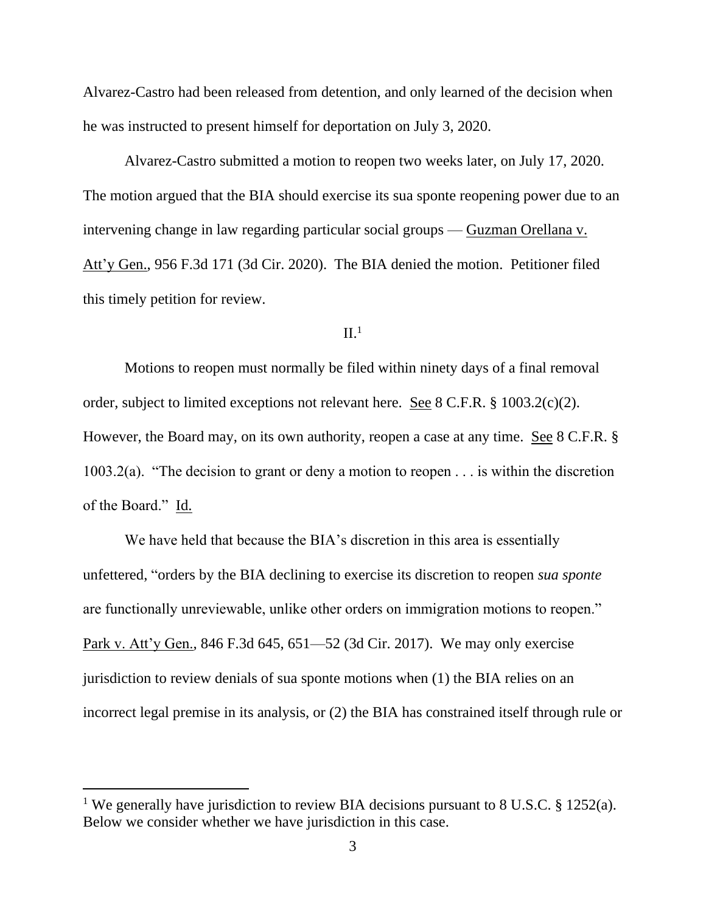Alvarez-Castro had been released from detention, and only learned of the decision when he was instructed to present himself for deportation on July 3, 2020.

Alvarez-Castro submitted a motion to reopen two weeks later, on July 17, 2020. The motion argued that the BIA should exercise its sua sponte reopening power due to an intervening change in law regarding particular social groups — Guzman Orellana v. Att'y Gen., 956 F.3d 171 (3d Cir. 2020). The BIA denied the motion. Petitioner filed this timely petition for review.

#### $II<sup>1</sup>$

Motions to reopen must normally be filed within ninety days of a final removal order, subject to limited exceptions not relevant here. See 8 C.F.R. § 1003.2(c)(2). However, the Board may, on its own authority, reopen a case at any time. See 8 C.F.R. § 1003.2(a). "The decision to grant or deny a motion to reopen . . . is within the discretion of the Board." Id.

We have held that because the BIA's discretion in this area is essentially unfettered, "orders by the BIA declining to exercise its discretion to reopen *sua sponte* are functionally unreviewable, unlike other orders on immigration motions to reopen." Park v. Att'y Gen., 846 F.3d 645, 651—52 (3d Cir. 2017). We may only exercise jurisdiction to review denials of sua sponte motions when (1) the BIA relies on an incorrect legal premise in its analysis, or (2) the BIA has constrained itself through rule or

<sup>&</sup>lt;sup>1</sup> We generally have jurisdiction to review BIA decisions pursuant to 8 U.S.C. § 1252(a). Below we consider whether we have jurisdiction in this case.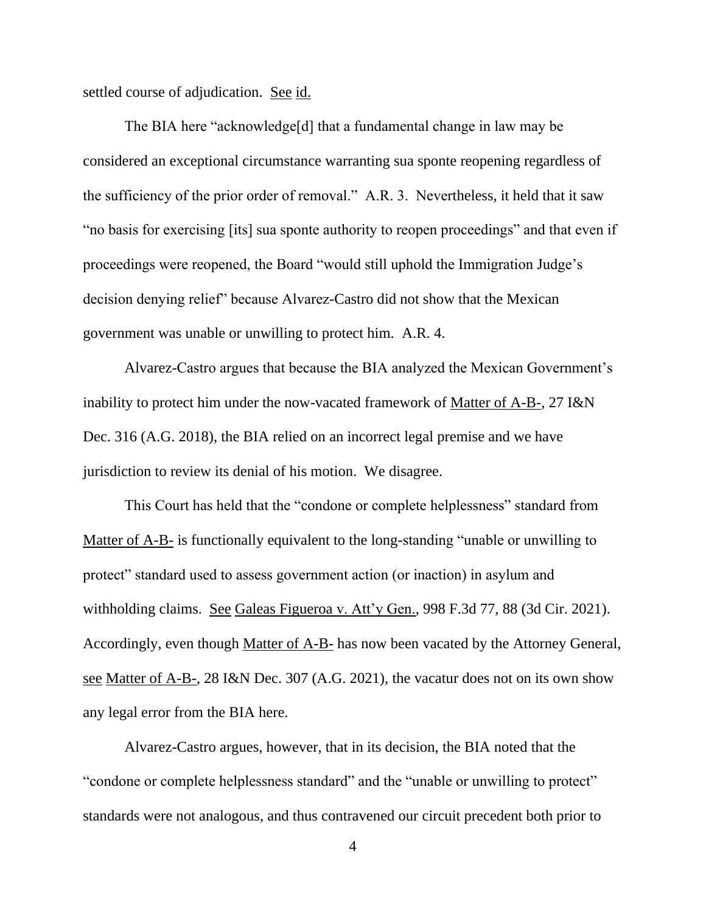settled course of adjudication. See id.

The BIA here "acknowledge[d] that a fundamental change in law may be considered an exceptional circumstance warranting sua sponte reopening regardless of the sufficiency of the prior order of removal." A.R. 3. Nevertheless, it held that it saw "no basis for exercising [its] sua sponte authority to reopen proceedings" and that even if proceedings were reopened, the Board "would still uphold the Immigration Judge's decision denying relief" because Alvarez-Castro did not show that the Mexican government was unable or unwilling to protect him. A.R. 4.

Alvarez-Castro argues that because the BIA analyzed the Mexican Government's inability to protect him under the now-vacated framework of Matter of A-B-, 27 I&N Dec. 316 (A.G. 2018), the BIA relied on an incorrect legal premise and we have jurisdiction to review its denial of his motion. We disagree.

This Court has held that the "condone or complete helplessness" standard from Matter of A-B- is functionally equivalent to the long-standing "unable or unwilling to protect" standard used to assess government action (or inaction) in asylum and withholding claims. See Galeas Figueroa v. Att'y Gen., 998 F.3d 77, 88 (3d Cir. 2021). Accordingly, even though Matter of A-B- has now been vacated by the Attorney General, see Matter of A-B-, 28 I&N Dec. 307 (A.G. 2021), the vacatur does not on its own show any legal error from the BIA here.

Alvarez-Castro argues, however, that in its decision, the BIA noted that the "condone or complete helplessness standard" and the "unable or unwilling to protect" standards were not analogous, and thus contravened our circuit precedent both prior to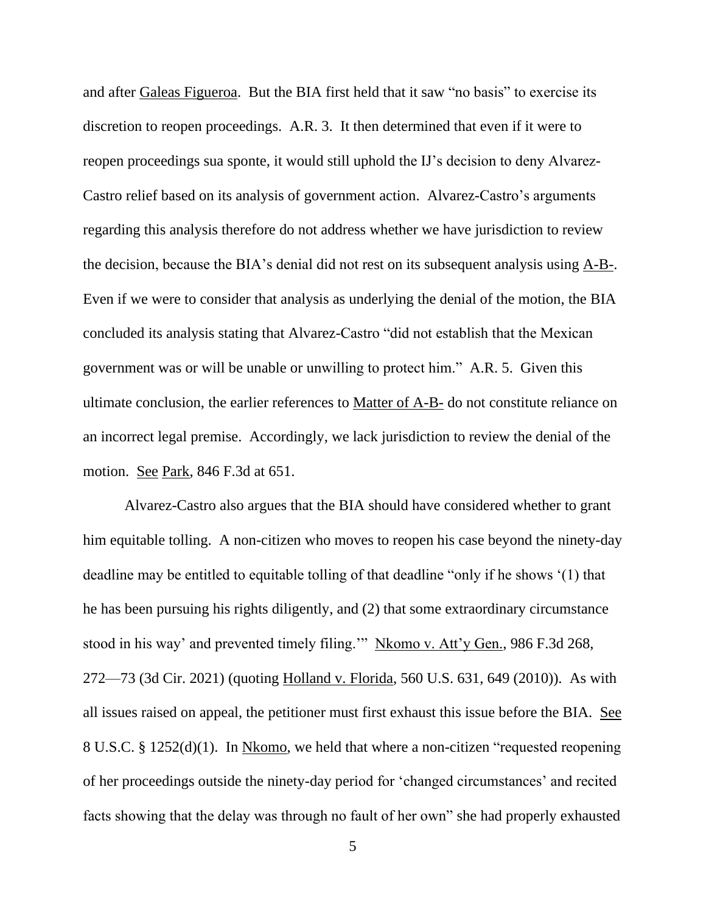and after Galeas Figueroa. But the BIA first held that it saw "no basis" to exercise its discretion to reopen proceedings. A.R. 3. It then determined that even if it were to reopen proceedings sua sponte, it would still uphold the IJ's decision to deny Alvarez-Castro relief based on its analysis of government action. Alvarez-Castro's arguments regarding this analysis therefore do not address whether we have jurisdiction to review the decision, because the BIA's denial did not rest on its subsequent analysis using A-B-. Even if we were to consider that analysis as underlying the denial of the motion, the BIA concluded its analysis stating that Alvarez-Castro "did not establish that the Mexican government was or will be unable or unwilling to protect him." A.R. 5. Given this ultimate conclusion, the earlier references to Matter of A-B- do not constitute reliance on an incorrect legal premise. Accordingly, we lack jurisdiction to review the denial of the motion. See Park, 846 F.3d at 651.

Alvarez-Castro also argues that the BIA should have considered whether to grant him equitable tolling. A non-citizen who moves to reopen his case beyond the ninety-day deadline may be entitled to equitable tolling of that deadline "only if he shows '(1) that he has been pursuing his rights diligently, and (2) that some extraordinary circumstance stood in his way' and prevented timely filing.'" Nkomo v. Att'y Gen., 986 F.3d 268, 272—73 (3d Cir. 2021) (quoting Holland v. Florida, 560 U.S. 631, 649 (2010)). As with all issues raised on appeal, the petitioner must first exhaust this issue before the BIA. See 8 U.S.C. § 1252(d)(1). In Nkomo, we held that where a non-citizen "requested reopening of her proceedings outside the ninety-day period for 'changed circumstances' and recited facts showing that the delay was through no fault of her own" she had properly exhausted